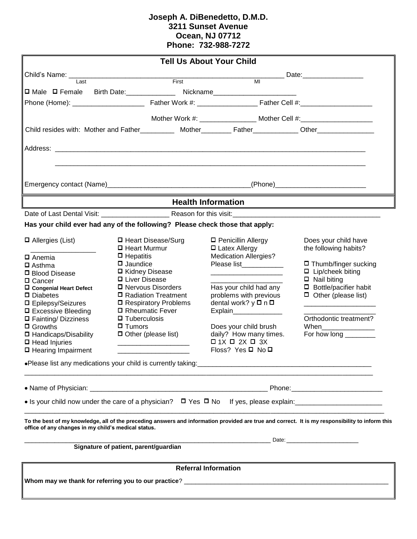## **Joseph A. DiBenedetto, D.M.D. 3211 Sunset Avenue Ocean, NJ 07712 Phone: 732-988-7272**

|                                                                                                            |                                        |                        | <b>Tell Us About Your Child</b>                                                  |                                                                                                                                                 |  |  |  |  |  |
|------------------------------------------------------------------------------------------------------------|----------------------------------------|------------------------|----------------------------------------------------------------------------------|-------------------------------------------------------------------------------------------------------------------------------------------------|--|--|--|--|--|
| Child's Name: _____                                                                                        |                                        |                        |                                                                                  | __ Date:___________________                                                                                                                     |  |  |  |  |  |
| I ast                                                                                                      |                                        | First                  | MI                                                                               |                                                                                                                                                 |  |  |  |  |  |
| $\Box$ Male $\Box$ Female                                                                                  |                                        |                        |                                                                                  |                                                                                                                                                 |  |  |  |  |  |
|                                                                                                            |                                        |                        |                                                                                  |                                                                                                                                                 |  |  |  |  |  |
|                                                                                                            |                                        |                        | Mother Work #: __________________ Mother Cell #:________________________________ |                                                                                                                                                 |  |  |  |  |  |
| Child resides with: Mother and Father___________ Mother_________ Father___________ Other__________________ |                                        |                        |                                                                                  |                                                                                                                                                 |  |  |  |  |  |
|                                                                                                            |                                        |                        |                                                                                  |                                                                                                                                                 |  |  |  |  |  |
|                                                                                                            |                                        |                        |                                                                                  |                                                                                                                                                 |  |  |  |  |  |
|                                                                                                            |                                        |                        |                                                                                  |                                                                                                                                                 |  |  |  |  |  |
|                                                                                                            |                                        |                        |                                                                                  |                                                                                                                                                 |  |  |  |  |  |
| <b>Health Information</b>                                                                                  |                                        |                        |                                                                                  |                                                                                                                                                 |  |  |  |  |  |
| Date of Last Dental Visit: Reason for this visit: Next Dental Visit:                                       |                                        |                        |                                                                                  |                                                                                                                                                 |  |  |  |  |  |
| Has your child ever had any of the following? Please check those that apply:                               |                                        |                        |                                                                                  |                                                                                                                                                 |  |  |  |  |  |
| $\Box$ Allergies (List)                                                                                    | □ Heart Disease/Surg<br>□ Heart Murmur |                        | □ Penicillin Allergy<br><b>D</b> Latex Allergy                                   | Does your child have<br>the following habits?                                                                                                   |  |  |  |  |  |
| $\Box$ Anemia                                                                                              | $\Box$ Hepatitis                       |                        | <b>Medication Allergies?</b>                                                     |                                                                                                                                                 |  |  |  |  |  |
| $\square$ Asthma                                                                                           | $\square$ Jaundice                     |                        | Please list____________                                                          | $\Box$ Thumb/finger sucking                                                                                                                     |  |  |  |  |  |
| □ Blood Disease                                                                                            | □ Kidney Disease<br>□ Liver Disease    |                        |                                                                                  | $\Box$ Lip/cheek biting<br>$\Box$ Nail biting                                                                                                   |  |  |  |  |  |
| □ Cancer<br>□ Congenial Heart Defect                                                                       | □ Nervous Disorders                    |                        | Has your child had any                                                           | $\Box$ Bottle/pacifier habit                                                                                                                    |  |  |  |  |  |
| $\square$ Diabetes                                                                                         | □ Radiation Treatment                  |                        | problems with previous                                                           | $\Box$ Other (please list)                                                                                                                      |  |  |  |  |  |
| □ Epilepsy/Seizures                                                                                        |                                        | □ Respiratory Problems | dental work? y <b>□</b> n <b>□</b>                                               |                                                                                                                                                 |  |  |  |  |  |
| □ Excessive Bleeding                                                                                       | □ Rheumatic Fever                      |                        | Explain_________________                                                         |                                                                                                                                                 |  |  |  |  |  |
| □ Fainting/ Dizziness                                                                                      | $\Box$ Tuberculosis                    |                        |                                                                                  | Orthodontic treatment?                                                                                                                          |  |  |  |  |  |
| $\Box$ Growths<br>$\Box$ Tumors                                                                            |                                        |                        | Does your child brush                                                            | When                                                                                                                                            |  |  |  |  |  |
| $\Box$ Handicaps/Disability                                                                                | $\Box$ Other (please list)             |                        | daily? How many times.<br>$\Box$ 1X $\Box$ 2X $\Box$ 3X                          | For how long _________                                                                                                                          |  |  |  |  |  |
| $\Box$ Head Injuries<br>□ Hearing Impairment                                                               |                                        |                        | Floss? Yes □ No □                                                                |                                                                                                                                                 |  |  |  |  |  |
|                                                                                                            |                                        |                        |                                                                                  |                                                                                                                                                 |  |  |  |  |  |
|                                                                                                            |                                        |                        |                                                                                  |                                                                                                                                                 |  |  |  |  |  |
|                                                                                                            |                                        |                        |                                                                                  |                                                                                                                                                 |  |  |  |  |  |
|                                                                                                            |                                        |                        |                                                                                  |                                                                                                                                                 |  |  |  |  |  |
|                                                                                                            |                                        |                        |                                                                                  |                                                                                                                                                 |  |  |  |  |  |
| office of any changes in my child's medical status.                                                        |                                        |                        |                                                                                  | To the best of my knowledge, all of the preceding answers and information provided are true and correct. It is my responsibility to inform this |  |  |  |  |  |
| <b>Example 2018</b> Date:<br>Signature of patient, parent/guardian                                         |                                        |                        |                                                                                  |                                                                                                                                                 |  |  |  |  |  |
|                                                                                                            |                                        |                        |                                                                                  |                                                                                                                                                 |  |  |  |  |  |
| <b>Referral Information</b>                                                                                |                                        |                        |                                                                                  |                                                                                                                                                 |  |  |  |  |  |
|                                                                                                            |                                        |                        |                                                                                  |                                                                                                                                                 |  |  |  |  |  |
|                                                                                                            |                                        |                        |                                                                                  |                                                                                                                                                 |  |  |  |  |  |
|                                                                                                            |                                        |                        |                                                                                  |                                                                                                                                                 |  |  |  |  |  |